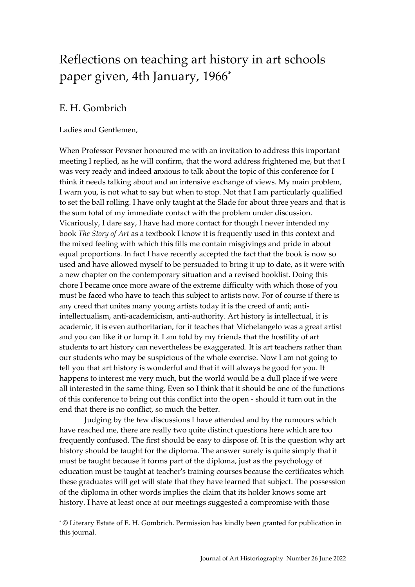## Reflections on teaching art history in art schools paper given, 4th January, 1966\*

## E. H. Gombrich

-

## Ladies and Gentlemen,

When Professor Pevsner honoured me with an invitation to address this important meeting I replied, as he will confirm, that the word address frightened me, but that I was very ready and indeed anxious to talk about the topic of this conference for I think it needs talking about and an intensive exchange of views. My main problem, I warn you, is not what to say but when to stop. Not that I am particularly qualified to set the ball rolling. I have only taught at the Slade for about three years and that is the sum total of my immediate contact with the problem under discussion. Vicariously, I dare say, I have had more contact for though I never intended my book *The Story of Art* as a textbook I know it is frequently used in this context and the mixed feeling with which this fills me contain misgivings and pride in about equal proportions. In fact I have recently accepted the fact that the book is now so used and have allowed myself to be persuaded to bring it up to date, as it were with a new chapter on the contemporary situation and a revised booklist. Doing this chore I became once more aware of the extreme difficulty with which those of you must be faced who have to teach this subject to artists now. For of course if there is any creed that unites many young artists today it is the creed of anti; antiintellectualism, anti-academicism, anti-authority. Art history is intellectual, it is academic, it is even authoritarian, for it teaches that Michelangelo was a great artist and you can like it or lump it. I am told by my friends that the hostility of art students to art history can nevertheless be exaggerated. It is art teachers rather than our students who may be suspicious of the whole exercise. Now I am not going to tell you that art history is wonderful and that it will always be good for you. It happens to interest me very much, but the world would be a dull place if we were all interested in the same thing. Even so I think that it should be one of the functions of this conference to bring out this conflict into the open - should it turn out in the end that there is no conflict, so much the better.

Judging by the few discussions I have attended and by the rumours which have reached me, there are really two quite distinct questions here which are too frequently confused. The first should be easy to dispose of. It is the question why art history should be taught for the diploma. The answer surely is quite simply that it must be taught because it forms part of the diploma, just as the psychology of education must be taught at teacher's training courses because the certificates which these graduates will get will state that they have learned that subject. The possession of the diploma in other words implies the claim that its holder knows some art history. I have at least once at our meetings suggested a compromise with those

<sup>\*</sup> © Literary Estate of E. H. Gombrich. Permission has kindly been granted for publication in this journal.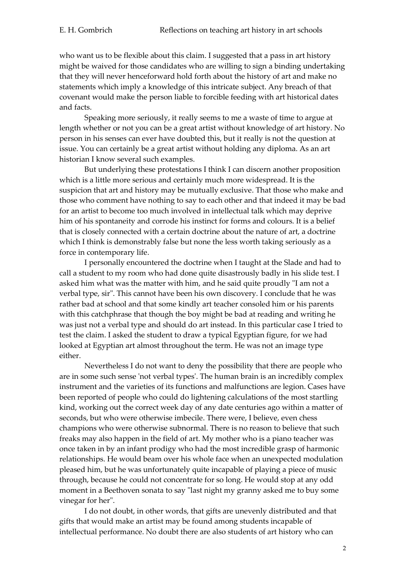who want us to be flexible about this claim. I suggested that a pass in art history might be waived for those candidates who are willing to sign a binding undertaking that they will never henceforward hold forth about the history of art and make no statements which imply a knowledge of this intricate subject. Any breach of that covenant would make the person liable to forcible feeding with art historical dates and facts.

Speaking more seriously, it really seems to me a waste of time to argue at length whether or not you can be a great artist without knowledge of art history. No person in his senses can ever have doubted this, but it really is not the question at issue. You can certainly be a great artist without holding any diploma. As an art historian I know several such examples.

But underlying these protestations I think I can discern another proposition which is a little more serious and certainly much more widespread. It is the suspicion that art and history may be mutually exclusive. That those who make and those who comment have nothing to say to each other and that indeed it may be bad for an artist to become too much involved in intellectual talk which may deprive him of his spontaneity and corrode his instinct for forms and colours. It is a belief that is closely connected with a certain doctrine about the nature of art, a doctrine which I think is demonstrably false but none the less worth taking seriously as a force in contemporary life.

I personally encountered the doctrine when I taught at the Slade and had to call a student to my room who had done quite disastrously badly in his slide test. I asked him what was the matter with him, and he said quite proudly "I am not a verbal type, sir". This cannot have been his own discovery. I conclude that he was rather bad at school and that some kindly art teacher consoled him or his parents with this catchphrase that though the boy might be bad at reading and writing he was just not a verbal type and should do art instead. In this particular case I tried to test the claim. I asked the student to draw a typical Egyptian figure, for we had looked at Egyptian art almost throughout the term. He was not an image type either.

Nevertheless I do not want to deny the possibility that there are people who are in some such sense 'not verbal types'. The human brain is an incredibly complex instrument and the varieties of its functions and malfunctions are legion. Cases have been reported of people who could do lightening calculations of the most startling kind, working out the correct week day of any date centuries ago within a matter of seconds, but who were otherwise imbecile. There were, I believe, even chess champions who were otherwise subnormal. There is no reason to believe that such freaks may also happen in the field of art. My mother who is a piano teacher was once taken in by an infant prodigy who had the most incredible grasp of harmonic relationships. He would beam over his whole face when an unexpected modulation pleased him, but he was unfortunately quite incapable of playing a piece of music through, because he could not concentrate for so long. He would stop at any odd moment in a Beethoven sonata to say "last night my granny asked me to buy some vinegar for her".

I do not doubt, in other words, that gifts are unevenly distributed and that gifts that would make an artist may be found among students incapable of intellectual performance. No doubt there are also students of art history who can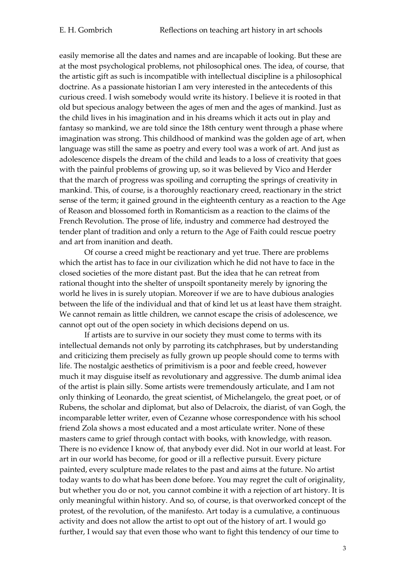easily memorise all the dates and names and are incapable of looking. But these are at the most psychological problems, not philosophical ones. The idea, of course, that the artistic gift as such is incompatible with intellectual discipline is a philosophical doctrine. As a passionate historian I am very interested in the antecedents of this curious creed. I wish somebody would write its history. I believe it is rooted in that old but specious analogy between the ages of men and the ages of mankind. Just as the child lives in his imagination and in his dreams which it acts out in play and fantasy so mankind, we are told since the 18th century went through a phase where imagination was strong. This childhood of mankind was the golden age of art, when language was still the same as poetry and every tool was a work of art. And just as adolescence dispels the dream of the child and leads to a loss of creativity that goes with the painful problems of growing up, so it was believed by Vico and Herder that the march of progress was spoiling and corrupting the springs of creativity in mankind. This, of course, is a thoroughly reactionary creed, reactionary in the strict sense of the term; it gained ground in the eighteenth century as a reaction to the Age of Reason and blossomed forth in Romanticism as a reaction to the claims of the French Revolution. The prose of life, industry and commerce had destroyed the tender plant of tradition and only a return to the Age of Faith could rescue poetry and art from inanition and death.

Of course a creed might be reactionary and yet true. There are problems which the artist has to face in our civilization which he did not have to face in the closed societies of the more distant past. But the idea that he can retreat from rational thought into the shelter of unspoilt spontaneity merely by ignoring the world he lives in is surely utopian. Moreover if we are to have dubious analogies between the life of the individual and that of kind let us at least have them straight. We cannot remain as little children, we cannot escape the crisis of adolescence, we cannot opt out of the open society in which decisions depend on us.

If artists are to survive in our society they must come to terms with its intellectual demands not only by parroting its catchphrases, but by understanding and criticizing them precisely as fully grown up people should come to terms with life. The nostalgic aesthetics of primitivism is a poor and feeble creed, however much it may disguise itself as revolutionary and aggressive. The dumb animal idea of the artist is plain silly. Some artists were tremendously articulate, and I am not only thinking of Leonardo, the great scientist, of Michelangelo, the great poet, or of Rubens, the scholar and diplomat, but also of Delacroix, the diarist, of van Gogh, the incomparable letter writer, even of Cezanne whose correspondence with his school friend Zola shows a most educated and a most articulate writer. None of these masters came to grief through contact with books, with knowledge, with reason. There is no evidence I know of, that anybody ever did. Not in our world at least. For art in our world has become, for good or ill a reflective pursuit. Every picture painted, every sculpture made relates to the past and aims at the future. No artist today wants to do what has been done before. You may regret the cult of originality, but whether you do or not, you cannot combine it with a rejection of art history. It is only meaningful within history. And so, of course, is that overworked concept of the protest, of the revolution, of the manifesto. Art today is a cumulative, a continuous activity and does not allow the artist to opt out of the history of art. I would go further, I would say that even those who want to fight this tendency of our time to

3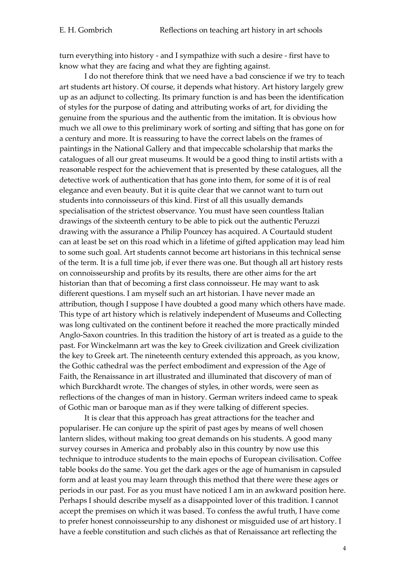turn everything into history - and I sympathize with such a desire - first have to know what they are facing and what they are fighting against.

I do not therefore think that we need have a bad conscience if we try to teach art students art history. Of course, it depends what history. Art history largely grew up as an adjunct to collecting. Its primary function is and has been the identification of styles for the purpose of dating and attributing works of art, for dividing the genuine from the spurious and the authentic from the imitation. It is obvious how much we all owe to this preliminary work of sorting and sifting that has gone on for a century and more. It is reassuring to have the correct labels on the frames of paintings in the National Gallery and that impeccable scholarship that marks the catalogues of all our great museums. It would be a good thing to instil artists with a reasonable respect for the achievement that is presented by these catalogues, all the detective work of authentication that has gone into them, for some of it is of real elegance and even beauty. But it is quite clear that we cannot want to turn out students into connoisseurs of this kind. First of all this usually demands specialisation of the strictest observance. You must have seen countless Italian drawings of the sixteenth century to be able to pick out the authentic Peruzzi drawing with the assurance a Philip Pouncey has acquired. A Courtauld student can at least be set on this road which in a lifetime of gifted application may lead him to some such goal. Art students cannot become art historians in this technical sense of the term. It is a full time job, if ever there was one. But though all art history rests on connoisseurship and profits by its results, there are other aims for the art historian than that of becoming a first class connoisseur. He may want to ask different questions. I am myself such an art historian. I have never made an attribution, though I suppose I have doubted a good many which others have made. This type of art history which is relatively independent of Museums and Collecting was long cultivated on the continent before it reached the more practically minded Anglo-Saxon countries. In this tradition the history of art is treated as a guide to the past. For Winckelmann art was the key to Greek civilization and Greek civilization the key to Greek art. The nineteenth century extended this approach, as you know, the Gothic cathedral was the perfect embodiment and expression of the Age of Faith, the Renaissance in art illustrated and illuminated that discovery of man of which Burckhardt wrote. The changes of styles, in other words, were seen as reflections of the changes of man in history. German writers indeed came to speak of Gothic man or baroque man as if they were talking of different species.

It is clear that this approach has great attractions for the teacher and populariser. He can conjure up the spirit of past ages by means of well chosen lantern slides, without making too great demands on his students. A good many survey courses in America and probably also in this country by now use this technique to introduce students to the main epochs of European civilisation. Coffee table books do the same. You get the dark ages or the age of humanism in capsuled form and at least you may learn through this method that there were these ages or periods in our past. For as you must have noticed I am in an awkward position here. Perhaps I should describe myself as a disappointed lover of this tradition. I cannot accept the premises on which it was based. To confess the awful truth, I have come to prefer honest connoisseurship to any dishonest or misguided use of art history. I have a feeble constitution and such clichés as that of Renaissance art reflecting the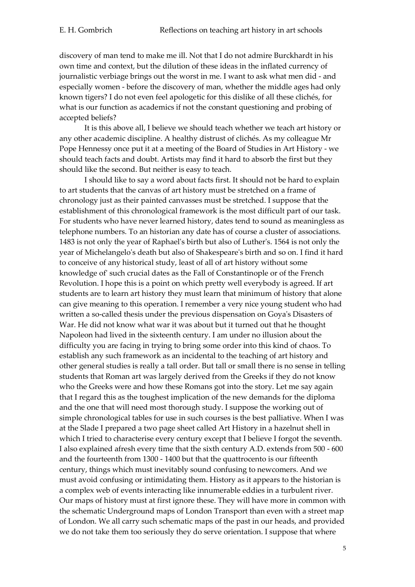discovery of man tend to make me ill. Not that I do not admire Burckhardt in his own time and context, but the dilution of these ideas in the inflated currency of journalistic verbiage brings out the worst in me. I want to ask what men did - and especially women - before the discovery of man, whether the middle ages had only known tigers? I do not even feel apologetic for this dislike of all these clichés, for what is our function as academics if not the constant questioning and probing of accepted beliefs?

It is this above all, I believe we should teach whether we teach art history or any other academic discipline. A healthy distrust of clichés. As my colleague Mr Pope Hennessy once put it at a meeting of the Board of Studies in Art History - we should teach facts and doubt. Artists may find it hard to absorb the first but they should like the second. But neither is easy to teach.

I should like to say a word about facts first. It should not be hard to explain to art students that the canvas of art history must be stretched on a frame of chronology just as their painted canvasses must be stretched. I suppose that the establishment of this chronological framework is the most difficult part of our task. For students who have never learned history, dates tend to sound as meaningless as telephone numbers. To an historian any date has of course a cluster of associations. 1483 is not only the year of Raphael's birth but also of Luther's. 1564 is not only the year of Michelangelo's death but also of Shakespeare's birth and so on. I find it hard to conceive of any historical study, least of all of art history without some knowledge of' such crucial dates as the Fall of Constantinople or of the French Revolution. I hope this is a point on which pretty well everybody is agreed. If art students are to learn art history they must learn that minimum of history that alone can give meaning to this operation. I remember a very nice young student who had written a so-called thesis under the previous dispensation on Goya's Disasters of War. He did not know what war it was about but it turned out that he thought Napoleon had lived in the sixteenth century. I am under no illusion about the difficulty you are facing in trying to bring some order into this kind of chaos. To establish any such framework as an incidental to the teaching of art history and other general studies is really a tall order. But tall or small there is no sense in telling students that Roman art was largely derived from the Greeks if they do not know who the Greeks were and how these Romans got into the story. Let me say again that I regard this as the toughest implication of the new demands for the diploma and the one that will need most thorough study. I suppose the working out of simple chronological tables for use in such courses is the best palliative. When I was at the Slade I prepared a two page sheet called Art History in a hazelnut shell in which I tried to characterise every century except that I believe I forgot the seventh. I also explained afresh every time that the sixth century A.D. extends from 500 - 600 and the fourteenth from 1300 - 1400 but that the quattrocento is our fifteenth century, things which must inevitably sound confusing to newcomers. And we must avoid confusing or intimidating them. History as it appears to the historian is a complex web of events interacting like innumerable eddies in a turbulent river. Our maps of history must at first ignore these. They will have more in common with the schematic Underground maps of London Transport than even with a street map of London. We all carry such schematic maps of the past in our heads, and provided we do not take them too seriously they do serve orientation. I suppose that where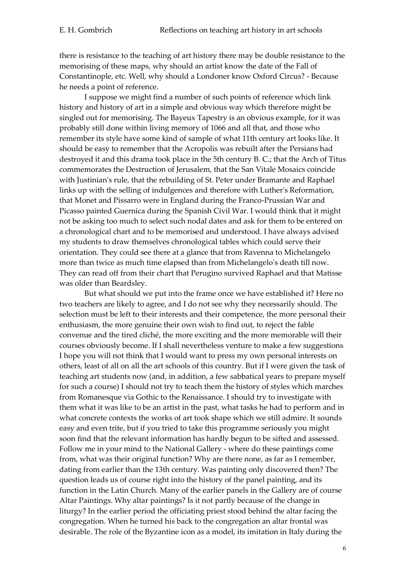there is resistance to the teaching of art history there may be double resistance to the memorising of these maps, why should an artist know the date of the Fall of Constantinople, etc. Well, why should a Londoner know Oxford Circus? - Because he needs a point of reference.

I suppose we might find a number of such points of reference which link history and history of art in a simple and obvious way which therefore might be singled out for memorising. The Bayeux Tapestry is an obvious example, for it was probably still done within living memory of 1066 and all that, and those who remember its style have some kind of sample of what 11th century art looks like. It should be easy to remember that the Acropolis was rebuilt after the Persians had destroyed it and this drama took place in the 5th century B. C.; that the Arch of Titus commemorates the Destruction of Jerusalem, that the San Vitale Mosaics coincide with Justinian's rule, that the rebuilding of St. Peter under Bramante and Raphael links up with the selling of indulgences and therefore with Luther's Reformation, that Monet and Pissarro were in England during the Franco-Prussian War and Picasso painted Guernica during the Spanish Civil War. I would think that it might not be asking too much to select such nodal dates and ask for them to be entered on a chronological chart and to be memorised and understood. I have always advised my students to draw themselves chronological tables which could serve their orientation. They could see there at a glance that from Ravenna to Michelangelo more than twice as much time elapsed than from Michelangelo's death till now. They can read off from their chart that Perugino survived Raphael and that Matisse was older than Beardsley.

But what should we put into the frame once we have established it? Here no two teachers are likely to agree, and I do not see why they necessarily should. The selection must be left to their interests and their competence, the more personal their enthusiasm, the more genuine their own wish to find out, to reject the convenue and the tired cliché, the more exciting and the more memorable will their courses obviously become. If I shall nevertheless venture to make a few suggestions I hope you will not think that I would want to press my own personal interests on others, least of all on all the art schools of this country. But if I were given the task of teaching art students now (and, in addition, a few sabbatical years to prepare myself for such a course) I should not try to teach them the history of styles which marches from Romanesque via Gothic to the Renaissance. I should try to investigate with them what it was like to be an artist in the past, what tasks he had to perform and in what concrete contexts the works of art took shape which we still admire. It sounds easy and even trite, but if you tried to take this programme seriously you might soon find that the relevant information has hardly begun to be sifted and assessed. Follow me in your mind to the National Gallery - where do these paintings come from, what was their original function? Why are there none, as far as I remember, dating from earlier than the 13th century. Was painting only discovered then? The question leads us of course right into the history of the panel painting, and its function in the Latin Church. Many of the earlier panels in the Gallery are of course Altar Paintings. Why altar paintings? Is it not partly because of the change in liturgy? In the earlier period the officiating priest stood behind the altar facing the congregation. When he turned his back to the congregation an altar frontal was desirable. The role of the Byzantine icon as a model, its imitation in Italy during the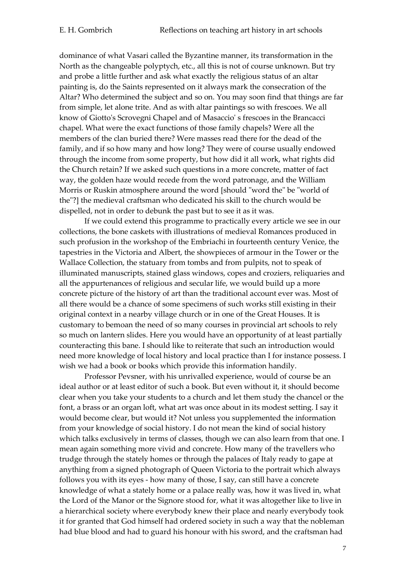dominance of what Vasari called the Byzantine manner, its transformation in the North as the changeable polyptych, etc., all this is not of course unknown. But try and probe a little further and ask what exactly the religious status of an altar painting is, do the Saints represented on it always mark the consecration of the Altar? Who determined the subject and so on. You may soon find that things are far from simple, let alone trite. And as with altar paintings so with frescoes. We all know of Giotto's Scrovegni Chapel and of Masaccio' s frescoes in the Brancacci chapel. What were the exact functions of those family chapels? Were all the members of the clan buried there? Were masses read there for the dead of the family, and if so how many and how long? They were of course usually endowed through the income from some property, but how did it all work, what rights did the Church retain? If we asked such questions in a more concrete, matter of fact way, the golden haze would recede from the word patronage, and the William Morris or Ruskin atmosphere around the word [should "word the" be "world of the"?] the medieval craftsman who dedicated his skill to the church would be dispelled, not in order to debunk the past but to see it as it was.

If we could extend this programme to practically every article we see in our collections, the bone caskets with illustrations of medieval Romances produced in such profusion in the workshop of the Embriachi in fourteenth century Venice, the tapestries in the Victoria and Albert, the showpieces of armour in the Tower or the Wallace Collection, the statuary from tombs and from pulpits, not to speak of illuminated manuscripts, stained glass windows, copes and croziers, reliquaries and all the appurtenances of religious and secular life, we would build up a more concrete picture of the history of art than the traditional account ever was. Most of all there would be a chance of some specimens of such works still existing in their original context in a nearby village church or in one of the Great Houses. It is customary to bemoan the need of so many courses in provincial art schools to rely so much on lantern slides. Here you would have an opportunity of at least partially counteracting this bane. I should like to reiterate that such an introduction would need more knowledge of local history and local practice than I for instance possess. I wish we had a book or books which provide this information handily.

Professor Pevsner, with his unrivalled experience, would of course be an ideal author or at least editor of such a book. But even without it, it should become clear when you take your students to a church and let them study the chancel or the font, a brass or an organ loft, what art was once about in its modest setting. I say it would become clear, but would it? Not unless you supplemented the information from your knowledge of social history. I do not mean the kind of social history which talks exclusively in terms of classes, though we can also learn from that one. I mean again something more vivid and concrete. How many of the travellers who trudge through the stately homes or through the palaces of Italy ready to gape at anything from a signed photograph of Queen Victoria to the portrait which always follows you with its eyes - how many of those, I say, can still have a concrete knowledge of what a stately home or a palace really was, how it was lived in, what the Lord of the Manor or the Signore stood for, what it was altogether like to live in a hierarchical society where everybody knew their place and nearly everybody took it for granted that God himself had ordered society in such a way that the nobleman had blue blood and had to guard his honour with his sword, and the craftsman had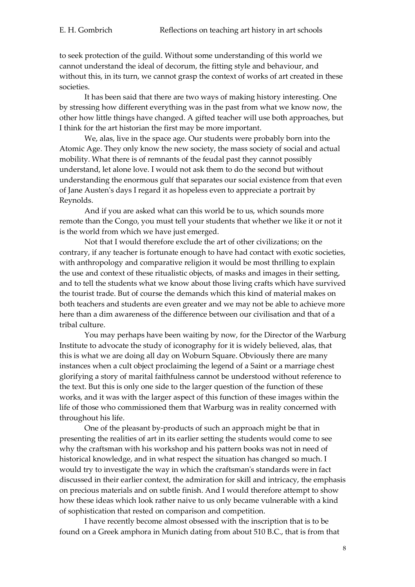to seek protection of the guild. Without some understanding of this world we cannot understand the ideal of decorum, the fitting style and behaviour, and without this, in its turn, we cannot grasp the context of works of art created in these societies.

It has been said that there are two ways of making history interesting. One by stressing how different everything was in the past from what we know now, the other how little things have changed. A gifted teacher will use both approaches, but I think for the art historian the first may be more important.

We, alas, live in the space age. Our students were probably born into the Atomic Age. They only know the new society, the mass society of social and actual mobility. What there is of remnants of the feudal past they cannot possibly understand, let alone love. I would not ask them to do the second but without understanding the enormous gulf that separates our social existence from that even of Jane Austen's days I regard it as hopeless even to appreciate a portrait by Reynolds.

And if you are asked what can this world be to us, which sounds more remote than the Congo, you must tell your students that whether we like it or not it is the world from which we have just emerged.

Not that I would therefore exclude the art of other civilizations; on the contrary, if any teacher is fortunate enough to have had contact with exotic societies, with anthropology and comparative religion it would be most thrilling to explain the use and context of these ritualistic objects, of masks and images in their setting, and to tell the students what we know about those living crafts which have survived the tourist trade. But of course the demands which this kind of material makes on both teachers and students are even greater and we may not be able to achieve more here than a dim awareness of the difference between our civilisation and that of a tribal culture.

You may perhaps have been waiting by now, for the Director of the Warburg Institute to advocate the study of iconography for it is widely believed, alas, that this is what we are doing all day on Woburn Square. Obviously there are many instances when a cult object proclaiming the legend of a Saint or a marriage chest glorifying a story of marital faithfulness cannot be understood without reference to the text. But this is only one side to the larger question of the function of these works, and it was with the larger aspect of this function of these images within the life of those who commissioned them that Warburg was in reality concerned with throughout his life.

One of the pleasant by-products of such an approach might be that in presenting the realities of art in its earlier setting the students would come to see why the craftsman with his workshop and his pattern books was not in need of historical knowledge, and in what respect the situation has changed so much. I would try to investigate the way in which the craftsman's standards were in fact discussed in their earlier context, the admiration for skill and intricacy, the emphasis on precious materials and on subtle finish. And I would therefore attempt to show how these ideas which look rather naive to us only became vulnerable with a kind of sophistication that rested on comparison and competition.

I have recently become almost obsessed with the inscription that is to be found on a Greek amphora in Munich dating from about 510 B.C., that is from that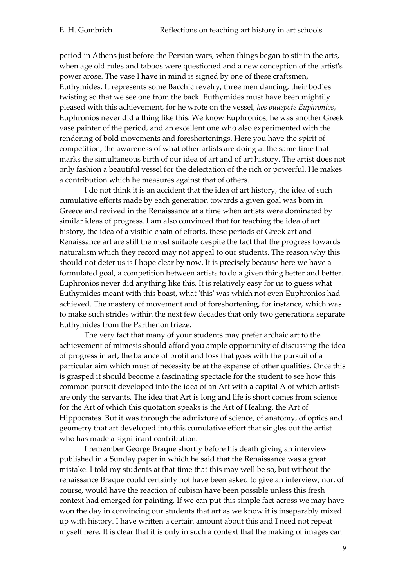period in Athens just before the Persian wars, when things began to stir in the arts, when age old rules and taboos were questioned and a new conception of the artist's power arose. The vase I have in mind is signed by one of these craftsmen, Euthymides. It represents some Bacchic revelry, three men dancing, their bodies twisting so that we see one from the back. Euthymides must have been mightily pleased with this achievement, for he wrote on the vessel, *hos oudepote Euphronios*, Euphronios never did a thing like this. We know Euphronios, he was another Greek vase painter of the period, and an excellent one who also experimented with the rendering of bold movements and foreshortenings. Here you have the spirit of competition, the awareness of what other artists are doing at the same time that marks the simultaneous birth of our idea of art and of art history. The artist does not only fashion a beautiful vessel for the delectation of the rich or powerful. He makes a contribution which he measures against that of others.

I do not think it is an accident that the idea of art history, the idea of such cumulative efforts made by each generation towards a given goal was born in Greece and revived in the Renaissance at a time when artists were dominated by similar ideas of progress. I am also convinced that for teaching the idea of art history, the idea of a visible chain of efforts, these periods of Greek art and Renaissance art are still the most suitable despite the fact that the progress towards naturalism which they record may not appeal to our students. The reason why this should not deter us is I hope clear by now. It is precisely because here we have a formulated goal, a competition between artists to do a given thing better and better. Euphronios never did anything like this. It is relatively easy for us to guess what Euthymides meant with this boast, what 'this' was which not even Euphronios had achieved. The mastery of movement and of foreshortening, for instance, which was to make such strides within the next few decades that only two generations separate Euthymides from the Parthenon frieze.

The very fact that many of your students may prefer archaic art to the achievement of mimesis should afford you ample opportunity of discussing the idea of progress in art, the balance of profit and loss that goes with the pursuit of a particular aim which must of necessity be at the expense of other qualities. Once this is grasped it should become a fascinating spectacle for the student to see how this common pursuit developed into the idea of an Art with a capital A of which artists are only the servants. The idea that Art is long and life is short comes from science for the Art of which this quotation speaks is the Art of Healing, the Art of Hippocrates. But it was through the admixture of science, of anatomy, of optics and geometry that art developed into this cumulative effort that singles out the artist who has made a significant contribution.

I remember George Braque shortly before his death giving an interview published in a Sunday paper in which he said that the Renaissance was a great mistake. I told my students at that time that this may well be so, but without the renaissance Braque could certainly not have been asked to give an interview; nor, of course, would have the reaction of cubism have been possible unless this fresh context had emerged for painting. If we can put this simple fact across we may have won the day in convincing our students that art as we know it is inseparably mixed up with history. I have written a certain amount about this and I need not repeat myself here. It is clear that it is only in such a context that the making of images can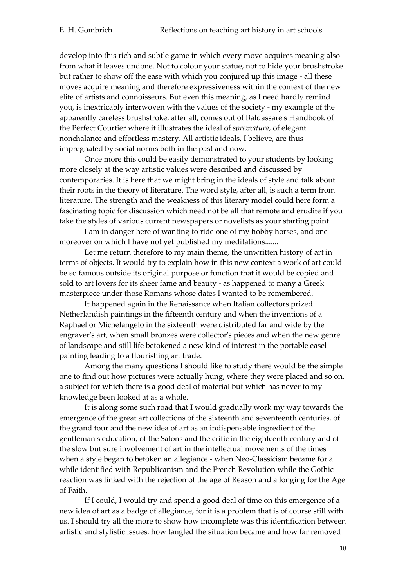develop into this rich and subtle game in which every move acquires meaning also from what it leaves undone. Not to colour your statue, not to hide your brushstroke but rather to show off the ease with which you conjured up this image - all these moves acquire meaning and therefore expressiveness within the context of the new elite of artists and connoisseurs. But even this meaning, as I need hardly remind you, is inextricably interwoven with the values of the society - my example of the apparently careless brushstroke, after all, comes out of Baldassare's Handbook of the Perfect Courtier where it illustrates the ideal of *sprezzatura*, of elegant nonchalance and effortless mastery. All artistic ideals, I believe, are thus impregnated by social norms both in the past and now.

Once more this could be easily demonstrated to your students by looking more closely at the way artistic values were described and discussed by contemporaries. It is here that we might bring in the ideals of style and talk about their roots in the theory of literature. The word style, after all, is such a term from literature. The strength and the weakness of this literary model could here form a fascinating topic for discussion which need not be all that remote and erudite if you take the styles of various current newspapers or novelists as your starting point.

I am in danger here of wanting to ride one of my hobby horses, and one moreover on which I have not yet published my meditations.......

Let me return therefore to my main theme, the unwritten history of art in terms of objects. It would try to explain how in this new context a work of art could be so famous outside its original purpose or function that it would be copied and sold to art lovers for its sheer fame and beauty - as happened to many a Greek masterpiece under those Romans whose dates I wanted to be remembered.

It happened again in the Renaissance when Italian collectors prized Netherlandish paintings in the fifteenth century and when the inventions of a Raphael or Michelangelo in the sixteenth were distributed far and wide by the engraver's art, when small bronzes were collector's pieces and when the new genre of landscape and still life betokened a new kind of interest in the portable easel painting leading to a flourishing art trade.

Among the many questions I should like to study there would be the simple one to find out how pictures were actually hung, where they were placed and so on, a subject for which there is a good deal of material but which has never to my knowledge been looked at as a whole.

It is along some such road that I would gradually work my way towards the emergence of the great art collections of the sixteenth and seventeenth centuries, of the grand tour and the new idea of art as an indispensable ingredient of the gentleman's education, of the Salons and the critic in the eighteenth century and of the slow but sure involvement of art in the intellectual movements of the times when a style began to betoken an allegiance - when Neo-Classicism became for a while identified with Republicanism and the French Revolution while the Gothic reaction was linked with the rejection of the age of Reason and a longing for the Age of Faith.

If I could, I would try and spend a good deal of time on this emergence of a new idea of art as a badge of allegiance, for it is a problem that is of course still with us. I should try all the more to show how incomplete was this identification between artistic and stylistic issues, how tangled the situation became and how far removed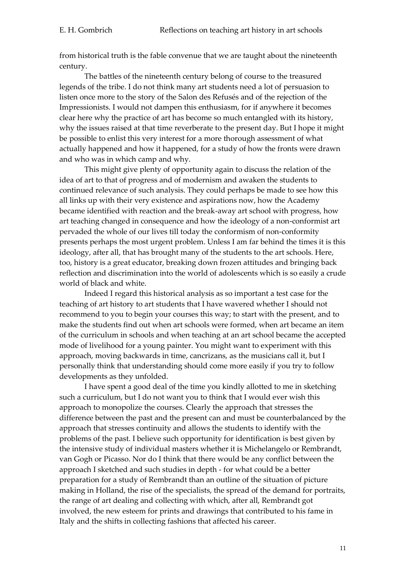from historical truth is the fable convenue that we are taught about the nineteenth century.

The battles of the nineteenth century belong of course to the treasured legends of the tribe. I do not think many art students need a lot of persuasion to listen once more to the story of the Salon des Refusés and of the rejection of the Impressionists. I would not dampen this enthusiasm, for if anywhere it becomes clear here why the practice of art has become so much entangled with its history, why the issues raised at that time reverberate to the present day. But I hope it might be possible to enlist this very interest for a more thorough assessment of what actually happened and how it happened, for a study of how the fronts were drawn and who was in which camp and why.

This might give plenty of opportunity again to discuss the relation of the idea of art to that of progress and of modernism and awaken the students to continued relevance of such analysis. They could perhaps be made to see how this all links up with their very existence and aspirations now, how the Academy became identified with reaction and the break-away art school with progress, how art teaching changed in consequence and how the ideology of a non-conformist art pervaded the whole of our lives till today the conformism of non-conformity presents perhaps the most urgent problem. Unless I am far behind the times it is this ideology, after all, that has brought many of the students to the art schools. Here, too, history is a great educator, breaking down frozen attitudes and bringing back reflection and discrimination into the world of adolescents which is so easily a crude world of black and white.

Indeed I regard this historical analysis as so important a test case for the teaching of art history to art students that I have wavered whether I should not recommend to you to begin your courses this way; to start with the present, and to make the students find out when art schools were formed, when art became an item of the curriculum in schools and when teaching at an art school became the accepted mode of livelihood for a young painter. You might want to experiment with this approach, moving backwards in time, cancrizans, as the musicians call it, but I personally think that understanding should come more easily if you try to follow developments as they unfolded.

I have spent a good deal of the time you kindly allotted to me in sketching such a curriculum, but I do not want you to think that I would ever wish this approach to monopolize the courses. Clearly the approach that stresses the difference between the past and the present can and must be counterbalanced by the approach that stresses continuity and allows the students to identify with the problems of the past. I believe such opportunity for identification is best given by the intensive study of individual masters whether it is Michelangelo or Rembrandt, van Gogh or Picasso. Nor do I think that there would be any conflict between the approach I sketched and such studies in depth - for what could be a better preparation for a study of Rembrandt than an outline of the situation of picture making in Holland, the rise of the specialists, the spread of the demand for portraits, the range of art dealing and collecting with which, after all, Rembrandt got involved, the new esteem for prints and drawings that contributed to his fame in Italy and the shifts in collecting fashions that affected his career.